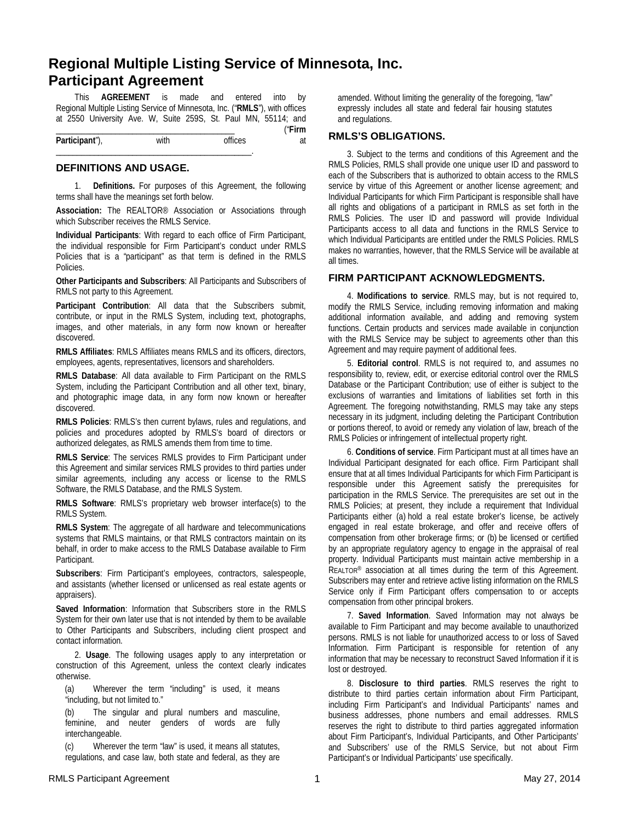# **Regional Multiple Listing Service of Minnesota, Inc. Participant Agreement**

This **AGREEMENT** is made and entered into by Regional Multiple Listing Service of Minnesota, Inc. ("**RMLS**"), with offices at 2550 University Ave. W, Suite 259S, St. Paul MN, 55114; and \_\_\_\_\_\_\_\_\_\_\_\_\_\_\_\_\_\_\_\_\_\_\_\_\_\_\_\_\_\_\_\_\_\_\_\_\_\_\_\_\_\_ ("**Firm** 

**Participant**"), with offices at \_\_\_\_\_\_\_\_\_\_\_\_\_\_\_\_\_\_\_\_\_\_\_\_\_\_\_\_\_\_\_\_\_\_\_\_\_\_\_\_\_\_\_\_\_\_.

#### **DEFINITIONS AND USAGE.**

1. **Definitions.** For purposes of this Agreement, the following terms shall have the meanings set forth below.

**Association:** The REALTOR® Association or Associations through which Subscriber receives the RMLS Service.

**Individual Participants**: With regard to each office of Firm Participant, the individual responsible for Firm Participant's conduct under RMLS Policies that is a "participant" as that term is defined in the RMLS Policies.

**Other Participants and Subscribers**: All Participants and Subscribers of RMLS not party to this Agreement.

**Participant Contribution**: All data that the Subscribers submit, contribute, or input in the RMLS System, including text, photographs, images, and other materials, in any form now known or hereafter discovered.

**RMLS Affiliates**: RMLS Affiliates means RMLS and its officers, directors, employees, agents, representatives, licensors and shareholders.

**RMLS Database**: All data available to Firm Participant on the RMLS System, including the Participant Contribution and all other text, binary, and photographic image data, in any form now known or hereafter discovered.

**RMLS Policies**: RMLS's then current bylaws, rules and regulations, and policies and procedures adopted by RMLS's board of directors or authorized delegates, as RMLS amends them from time to time.

**RMLS Service**: The services RMLS provides to Firm Participant under this Agreement and similar services RMLS provides to third parties under similar agreements, including any access or license to the RMLS Software, the RMLS Database, and the RMLS System.

**RMLS Software**: RMLS's proprietary web browser interface(s) to the RMLS System.

**RMLS System**: The aggregate of all hardware and telecommunications systems that RMLS maintains, or that RMLS contractors maintain on its behalf, in order to make access to the RMLS Database available to Firm Participant.

**Subscribers**: Firm Participant's employees, contractors, salespeople, and assistants (whether licensed or unlicensed as real estate agents or appraisers).

**Saved Information**: Information that Subscribers store in the RMLS System for their own later use that is not intended by them to be available to Other Participants and Subscribers, including client prospect and contact information.

2. **Usage**. The following usages apply to any interpretation or construction of this Agreement, unless the context clearly indicates otherwise.

(a) Wherever the term "including" is used, it means "including, but not limited to."

(b) The singular and plural numbers and masculine, feminine, and neuter genders of words are fully interchangeable.

(c) Wherever the term "law" is used, it means all statutes, regulations, and case law, both state and federal, as they are amended. Without limiting the generality of the foregoing, "law" expressly includes all state and federal fair housing statutes and regulations.

#### **RMLS'S OBLIGATIONS.**

3. Subject to the terms and conditions of this Agreement and the RMLS Policies, RMLS shall provide one unique user ID and password to each of the Subscribers that is authorized to obtain access to the RMLS service by virtue of this Agreement or another license agreement; and Individual Participants for which Firm Participant is responsible shall have all rights and obligations of a participant in RMLS as set forth in the RMLS Policies. The user ID and password will provide Individual Participants access to all data and functions in the RMLS Service to which Individual Participants are entitled under the RMLS Policies. RMLS makes no warranties, however, that the RMLS Service will be available at all times.

## **FIRM PARTICIPANT ACKNOWLEDGMENTS.**

4. **Modifications to service**. RMLS may, but is not required to, modify the RMLS Service, including removing information and making additional information available, and adding and removing system functions. Certain products and services made available in conjunction with the RMLS Service may be subject to agreements other than this Agreement and may require payment of additional fees.

5. **Editorial control**. RMLS is not required to, and assumes no responsibility to, review, edit, or exercise editorial control over the RMLS Database or the Participant Contribution; use of either is subject to the exclusions of warranties and limitations of liabilities set forth in this Agreement. The foregoing notwithstanding, RMLS may take any steps necessary in its judgment, including deleting the Participant Contribution or portions thereof, to avoid or remedy any violation of law, breach of the RMLS Policies or infringement of intellectual property right.

6. **Conditions of service**. Firm Participant must at all times have an Individual Participant designated for each office. Firm Participant shall ensure that at all times Individual Participants for which Firm Participant is responsible under this Agreement satisfy the prerequisites for participation in the RMLS Service. The prerequisites are set out in the RMLS Policies; at present, they include a requirement that Individual Participants either (a) hold a real estate broker's license, be actively engaged in real estate brokerage, and offer and receive offers of compensation from other brokerage firms; or (b) be licensed or certified by an appropriate regulatory agency to engage in the appraisal of real property. Individual Participants must maintain active membership in a REALTOR® association at all times during the term of this Agreement. Subscribers may enter and retrieve active listing information on the RMLS Service only if Firm Participant offers compensation to or accepts compensation from other principal brokers.

7. **Saved Information**. Saved Information may not always be available to Firm Participant and may become available to unauthorized persons. RMLS is not liable for unauthorized access to or loss of Saved Information. Firm Participant is responsible for retention of any information that may be necessary to reconstruct Saved Information if it is lost or destroyed.

8. **Disclosure to third parties**. RMLS reserves the right to distribute to third parties certain information about Firm Participant, including Firm Participant's and Individual Participants' names and business addresses, phone numbers and email addresses. RMLS reserves the right to distribute to third parties aggregated information about Firm Participant's, Individual Participants, and Other Participants' and Subscribers' use of the RMLS Service, but not about Firm Participant's or Individual Participants' use specifically.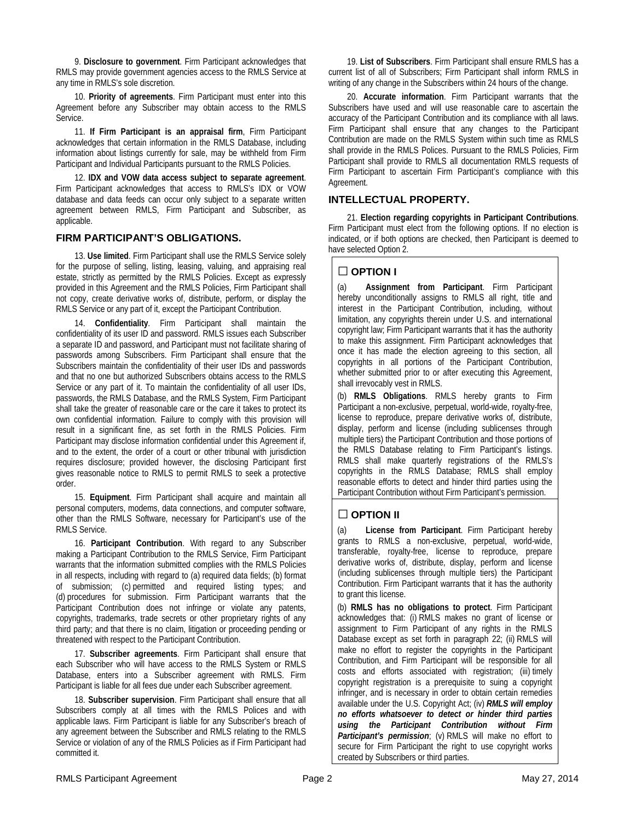9. **Disclosure to government**. Firm Participant acknowledges that RMLS may provide government agencies access to the RMLS Service at any time in RMLS's sole discretion.

10. **Priority of agreements**. Firm Participant must enter into this Agreement before any Subscriber may obtain access to the RMLS Service.

11. **If Firm Participant is an appraisal firm**, Firm Participant acknowledges that certain information in the RMLS Database, including information about listings currently for sale, may be withheld from Firm Participant and Individual Participants pursuant to the RMLS Policies.

12. **IDX and VOW data access subject to separate agreement**. Firm Participant acknowledges that access to RMLS's IDX or VOW database and data feeds can occur only subject to a separate written agreement between RMLS, Firm Participant and Subscriber, as applicable.

# **FIRM PARTICIPANT'S OBLIGATIONS.**

13. **Use limited**. Firm Participant shall use the RMLS Service solely for the purpose of selling, listing, leasing, valuing, and appraising real estate, strictly as permitted by the RMLS Policies. Except as expressly provided in this Agreement and the RMLS Policies, Firm Participant shall not copy, create derivative works of, distribute, perform, or display the RMLS Service or any part of it, except the Participant Contribution.

14. **Confidentiality**. Firm Participant shall maintain the confidentiality of its user ID and password. RMLS issues each Subscriber a separate ID and password, and Participant must not facilitate sharing of passwords among Subscribers. Firm Participant shall ensure that the Subscribers maintain the confidentiality of their user IDs and passwords and that no one but authorized Subscribers obtains access to the RMLS Service or any part of it. To maintain the confidentiality of all user IDs, passwords, the RMLS Database, and the RMLS System, Firm Participant shall take the greater of reasonable care or the care it takes to protect its own confidential information. Failure to comply with this provision will result in a significant fine, as set forth in the RMLS Policies. Firm Participant may disclose information confidential under this Agreement if, and to the extent, the order of a court or other tribunal with jurisdiction requires disclosure; provided however, the disclosing Participant first gives reasonable notice to RMLS to permit RMLS to seek a protective order.

15. **Equipment**. Firm Participant shall acquire and maintain all personal computers, modems, data connections, and computer software, other than the RMLS Software, necessary for Participant's use of the RMLS Service.

16. **Participant Contribution**. With regard to any Subscriber making a Participant Contribution to the RMLS Service, Firm Participant warrants that the information submitted complies with the RMLS Policies in all respects, including with regard to (a) required data fields; (b) format of submission; (c) permitted and required listing types; and (d) procedures for submission. Firm Participant warrants that the Participant Contribution does not infringe or violate any patents, copyrights, trademarks, trade secrets or other proprietary rights of any third party; and that there is no claim, litigation or proceeding pending or threatened with respect to the Participant Contribution.

17. **Subscriber agreements**. Firm Participant shall ensure that each Subscriber who will have access to the RMLS System or RMLS Database, enters into a Subscriber agreement with RMLS. Firm Participant is liable for all fees due under each Subscriber agreement.

18. **Subscriber supervision**. Firm Participant shall ensure that all Subscribers comply at all times with the RMLS Polices and with applicable laws. Firm Participant is liable for any Subscriber's breach of any agreement between the Subscriber and RMLS relating to the RMLS Service or violation of any of the RMLS Policies as if Firm Participant had committed it.

19. **List of Subscribers**. Firm Participant shall ensure RMLS has a current list of all of Subscribers; Firm Participant shall inform RMLS in writing of any change in the Subscribers within 24 hours of the change.

20. **Accurate information**. Firm Participant warrants that the Subscribers have used and will use reasonable care to ascertain the accuracy of the Participant Contribution and its compliance with all laws. Firm Participant shall ensure that any changes to the Participant Contribution are made on the RMLS System within such time as RMLS shall provide in the RMLS Polices. Pursuant to the RMLS Policies, Firm Participant shall provide to RMLS all documentation RMLS requests of Firm Participant to ascertain Firm Participant's compliance with this Agreement.

## **INTELLECTUAL PROPERTY.**

21. **Election regarding copyrights in Participant Contributions**. Firm Participant must elect from the following options. If no election is indicated, or if both options are checked, then Participant is deemed to have selected Option 2.

## **□ OPTION I**

(a) **Assignment from Participant**. Firm Participant hereby unconditionally assigns to RMLS all right, title and interest in the Participant Contribution, including, without limitation, any copyrights therein under U.S. and international copyright law; Firm Participant warrants that it has the authority to make this assignment. Firm Participant acknowledges that once it has made the election agreeing to this section, all copyrights in all portions of the Participant Contribution, whether submitted prior to or after executing this Agreement, shall irrevocably vest in RMLS.

(b) **RMLS Obligations**. RMLS hereby grants to Firm Participant a non-exclusive, perpetual, world-wide, royalty-free, license to reproduce, prepare derivative works of, distribute, display, perform and license (including sublicenses through multiple tiers) the Participant Contribution and those portions of the RMLS Database relating to Firm Participant's listings. RMLS shall make quarterly registrations of the RMLS's copyrights in the RMLS Database; RMLS shall employ reasonable efforts to detect and hinder third parties using the Participant Contribution without Firm Participant's permission.

# **□ OPTION II**

(a) **License from Participant**. Firm Participant hereby grants to RMLS a non-exclusive, perpetual, world-wide, transferable, royalty-free, license to reproduce, prepare derivative works of, distribute, display, perform and license (including sublicenses through multiple tiers) the Participant Contribution. Firm Participant warrants that it has the authority to grant this license.

(b) **RMLS has no obligations to protect**. Firm Participant acknowledges that: (i) RMLS makes no grant of license or assignment to Firm Participant of any rights in the RMLS Database except as set forth in paragraph 22; (ii) RMLS will make no effort to register the copyrights in the Participant Contribution, and Firm Participant will be responsible for all costs and efforts associated with registration; (iii) timely copyright registration is a prerequisite to suing a copyright infringer, and is necessary in order to obtain certain remedies available under the U.S. Copyright Act; (iv) *RMLS will employ no efforts whatsoever to detect or hinder third parties using the Participant Contribution without Firm Participant's permission*; (v) RMLS will make no effort to secure for Firm Participant the right to use copyright works created by Subscribers or third parties.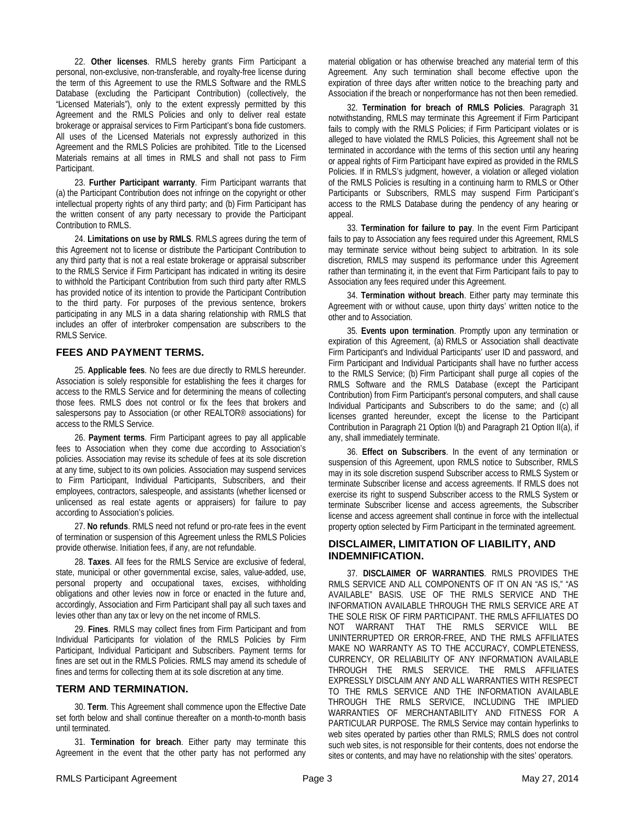22. **Other licenses**. RMLS hereby grants Firm Participant a personal, non-exclusive, non-transferable, and royalty-free license during the term of this Agreement to use the RMLS Software and the RMLS Database (excluding the Participant Contribution) (collectively, the "Licensed Materials"), only to the extent expressly permitted by this Agreement and the RMLS Policies and only to deliver real estate brokerage or appraisal services to Firm Participant's bona fide customers. All uses of the Licensed Materials not expressly authorized in this Agreement and the RMLS Policies are prohibited. Title to the Licensed Materials remains at all times in RMLS and shall not pass to Firm Participant.

23. **Further Participant warranty**. Firm Participant warrants that (a) the Participant Contribution does not infringe on the copyright or other intellectual property rights of any third party; and (b) Firm Participant has the written consent of any party necessary to provide the Participant Contribution to RMLS.

24. **Limitations on use by RMLS**. RMLS agrees during the term of this Agreement not to license or distribute the Participant Contribution to any third party that is not a real estate brokerage or appraisal subscriber to the RMLS Service if Firm Participant has indicated in writing its desire to withhold the Participant Contribution from such third party after RMLS has provided notice of its intention to provide the Participant Contribution to the third party. For purposes of the previous sentence, brokers participating in any MLS in a data sharing relationship with RMLS that includes an offer of interbroker compensation are subscribers to the RMLS Service.

## **FEES AND PAYMENT TERMS.**

25. **Applicable fees**. No fees are due directly to RMLS hereunder. Association is solely responsible for establishing the fees it charges for access to the RMLS Service and for determining the means of collecting those fees. RMLS does not control or fix the fees that brokers and salespersons pay to Association (or other REALTOR® associations) for access to the RMLS Service.

26. **Payment terms**. Firm Participant agrees to pay all applicable fees to Association when they come due according to Association's policies. Association may revise its schedule of fees at its sole discretion at any time, subject to its own policies. Association may suspend services to Firm Participant, Individual Participants, Subscribers, and their employees, contractors, salespeople, and assistants (whether licensed or unlicensed as real estate agents or appraisers) for failure to pay according to Association's policies.

27. **No refunds**. RMLS need not refund or pro-rate fees in the event of termination or suspension of this Agreement unless the RMLS Policies provide otherwise. Initiation fees, if any, are not refundable.

28. **Taxes**. All fees for the RMLS Service are exclusive of federal, state, municipal or other governmental excise, sales, value-added, use, personal property and occupational taxes, excises, withholding obligations and other levies now in force or enacted in the future and, accordingly, Association and Firm Participant shall pay all such taxes and levies other than any tax or levy on the net income of RMLS.

29. **Fines**. RMLS may collect fines from Firm Participant and from Individual Participants for violation of the RMLS Policies by Firm Participant, Individual Participant and Subscribers. Payment terms for fines are set out in the RMLS Policies. RMLS may amend its schedule of fines and terms for collecting them at its sole discretion at any time.

#### **TERM AND TERMINATION.**

30. **Term**. This Agreement shall commence upon the Effective Date set forth below and shall continue thereafter on a month-to-month basis until terminated.

31. **Termination for breach**. Either party may terminate this Agreement in the event that the other party has not performed any material obligation or has otherwise breached any material term of this Agreement. Any such termination shall become effective upon the expiration of three days after written notice to the breaching party and Association if the breach or nonperformance has not then been remedied.

32. **Termination for breach of RMLS Policies**. Paragraph 31 notwithstanding, RMLS may terminate this Agreement if Firm Participant fails to comply with the RMLS Policies; if Firm Participant violates or is alleged to have violated the RMLS Policies, this Agreement shall not be terminated in accordance with the terms of this section until any hearing or appeal rights of Firm Participant have expired as provided in the RMLS Policies. If in RMLS's judgment, however, a violation or alleged violation of the RMLS Policies is resulting in a continuing harm to RMLS or Other Participants or Subscribers, RMLS may suspend Firm Participant's access to the RMLS Database during the pendency of any hearing or appeal.

33. **Termination for failure to pay**. In the event Firm Participant fails to pay to Association any fees required under this Agreement, RMLS may terminate service without being subject to arbitration. In its sole discretion, RMLS may suspend its performance under this Agreement rather than terminating it, in the event that Firm Participant fails to pay to Association any fees required under this Agreement.

34. **Termination without breach**. Either party may terminate this Agreement with or without cause, upon thirty days' written notice to the other and to Association.

35. **Events upon termination**. Promptly upon any termination or expiration of this Agreement, (a) RMLS or Association shall deactivate Firm Participant's and Individual Participants' user ID and password, and Firm Participant and Individual Participants shall have no further access to the RMLS Service; (b) Firm Participant shall purge all copies of the RMLS Software and the RMLS Database (except the Participant Contribution) from Firm Participant's personal computers, and shall cause Individual Participants and Subscribers to do the same; and (c) all licenses granted hereunder, except the license to the Participant Contribution in Paragraph 21 Option I(b) and Paragraph 21 Option II(a), if any, shall immediately terminate.

36. **Effect on Subscribers**. In the event of any termination or suspension of this Agreement, upon RMLS notice to Subscriber, RMLS may in its sole discretion suspend Subscriber access to RMLS System or terminate Subscriber license and access agreements. If RMLS does not exercise its right to suspend Subscriber access to the RMLS System or terminate Subscriber license and access agreements, the Subscriber license and access agreement shall continue in force with the intellectual property option selected by Firm Participant in the terminated agreement.

## **DISCLAIMER, LIMITATION OF LIABILITY, AND INDEMNIFICATION.**

37. **DISCLAIMER OF WARRANTIES**. RMLS PROVIDES THE RMLS SERVICE AND ALL COMPONENTS OF IT ON AN "AS IS," "AS AVAILABLE" BASIS. USE OF THE RMLS SERVICE AND THE INFORMATION AVAILABLE THROUGH THE RMLS SERVICE ARE AT THE SOLE RISK OF FIRM PARTICIPANT. THE RMLS AFFILIATES DO NOT WARRANT THAT THE RMLS SERVICE WILL BE UNINTERRUPTED OR ERROR-FREE, AND THE RMLS AFFILIATES MAKE NO WARRANTY AS TO THE ACCURACY, COMPLETENESS, CURRENCY, OR RELIABILITY OF ANY INFORMATION AVAILABLE THROUGH THE RMLS SERVICE. THE RMLS AFFILIATES EXPRESSLY DISCLAIM ANY AND ALL WARRANTIES WITH RESPECT TO THE RMLS SERVICE AND THE INFORMATION AVAILABLE THROUGH THE RMLS SERVICE, INCLUDING THE IMPLIED WARRANTIES OF MERCHANTABILITY AND FITNESS FOR A PARTICULAR PURPOSE. The RMLS Service may contain hyperlinks to web sites operated by parties other than RMLS; RMLS does not control such web sites, is not responsible for their contents, does not endorse the sites or contents, and may have no relationship with the sites' operators.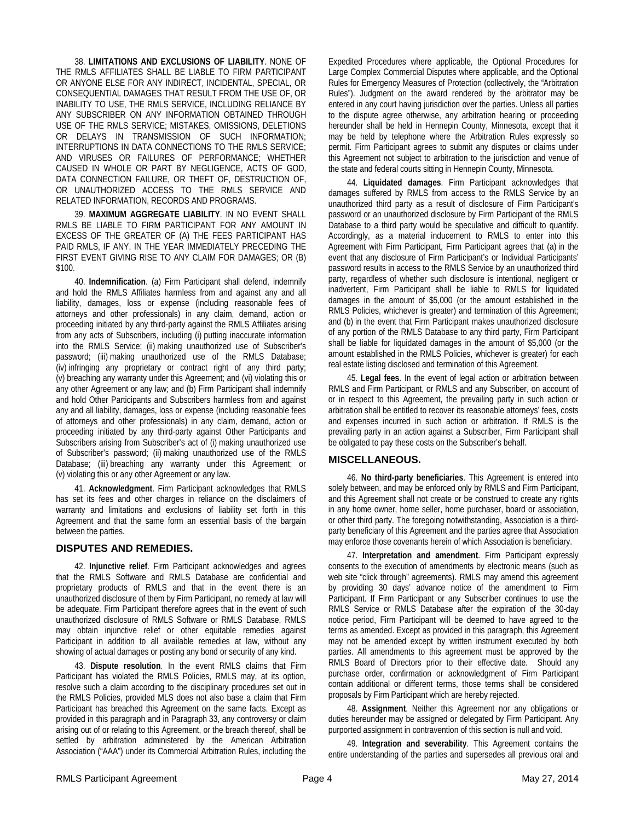38. **LIMITATIONS AND EXCLUSIONS OF LIABILITY**. NONE OF THE RMLS AFFILIATES SHALL BE LIABLE TO FIRM PARTICIPANT OR ANYONE ELSE FOR ANY INDIRECT, INCIDENTAL, SPECIAL, OR CONSEQUENTIAL DAMAGES THAT RESULT FROM THE USE OF, OR INABILITY TO USE, THE RMLS SERVICE, INCLUDING RELIANCE BY ANY SUBSCRIBER ON ANY INFORMATION OBTAINED THROUGH USE OF THE RMLS SERVICE; MISTAKES, OMISSIONS, DELETIONS OR DELAYS IN TRANSMISSION OF SUCH INFORMATION; INTERRUPTIONS IN DATA CONNECTIONS TO THE RMLS SERVICE; AND VIRUSES OR FAILURES OF PERFORMANCE; WHETHER CAUSED IN WHOLE OR PART BY NEGLIGENCE, ACTS OF GOD, DATA CONNECTION FAILURE, OR THEFT OF, DESTRUCTION OF, OR UNAUTHORIZED ACCESS TO THE RMLS SERVICE AND RELATED INFORMATION, RECORDS AND PROGRAMS.

39. **MAXIMUM AGGREGATE LIABILITY**. IN NO EVENT SHALL RMLS BE LIABLE TO FIRM PARTICIPANT FOR ANY AMOUNT IN EXCESS OF THE GREATER OF (A) THE FEES PARTICIPANT HAS PAID RMLS, IF ANY, IN THE YEAR IMMEDIATELY PRECEDING THE FIRST EVENT GIVING RISE TO ANY CLAIM FOR DAMAGES; OR (B) \$100.

40. **Indemnification**. (a) Firm Participant shall defend, indemnify and hold the RMLS Affiliates harmless from and against any and all liability, damages, loss or expense (including reasonable fees of attorneys and other professionals) in any claim, demand, action or proceeding initiated by any third-party against the RMLS Affiliates arising from any acts of Subscribers, including (i) putting inaccurate information into the RMLS Service; (ii) making unauthorized use of Subscriber's password; (iii) making unauthorized use of the RMLS Database; (iv) infringing any proprietary or contract right of any third party; (v) breaching any warranty under this Agreement; and (vi) violating this or any other Agreement or any law; and (b) Firm Participant shall indemnify and hold Other Participants and Subscribers harmless from and against any and all liability, damages, loss or expense (including reasonable fees of attorneys and other professionals) in any claim, demand, action or proceeding initiated by any third-party against Other Participants and Subscribers arising from Subscriber's act of (i) making unauthorized use of Subscriber's password; (ii) making unauthorized use of the RMLS Database; (iii) breaching any warranty under this Agreement; or (v) violating this or any other Agreement or any law.

41. **Acknowledgment**. Firm Participant acknowledges that RMLS has set its fees and other charges in reliance on the disclaimers of warranty and limitations and exclusions of liability set forth in this Agreement and that the same form an essential basis of the bargain between the parties.

#### **DISPUTES AND REMEDIES.**

42. **Injunctive relief**. Firm Participant acknowledges and agrees that the RMLS Software and RMLS Database are confidential and proprietary products of RMLS and that in the event there is an unauthorized disclosure of them by Firm Participant, no remedy at law will be adequate. Firm Participant therefore agrees that in the event of such unauthorized disclosure of RMLS Software or RMLS Database, RMLS may obtain injunctive relief or other equitable remedies against Participant in addition to all available remedies at law, without any showing of actual damages or posting any bond or security of any kind.

43. **Dispute resolution**. In the event RMLS claims that Firm Participant has violated the RMLS Policies, RMLS may, at its option, resolve such a claim according to the disciplinary procedures set out in the RMLS Policies, provided MLS does not also base a claim that Firm Participant has breached this Agreement on the same facts. Except as provided in this paragraph and in Paragraph 33, any controversy or claim arising out of or relating to this Agreement, or the breach thereof, shall be settled by arbitration administered by the American Arbitration Association ("AAA") under its Commercial Arbitration Rules, including the Expedited Procedures where applicable, the Optional Procedures for Large Complex Commercial Disputes where applicable, and the Optional Rules for Emergency Measures of Protection (collectively, the "Arbitration Rules"). Judgment on the award rendered by the arbitrator may be entered in any court having jurisdiction over the parties. Unless all parties to the dispute agree otherwise, any arbitration hearing or proceeding hereunder shall be held in Hennepin County, Minnesota, except that it may be held by telephone where the Arbitration Rules expressly so permit. Firm Participant agrees to submit any disputes or claims under this Agreement not subject to arbitration to the jurisdiction and venue of the state and federal courts sitting in Hennepin County, Minnesota.

44. **Liquidated damages**. Firm Participant acknowledges that damages suffered by RMLS from access to the RMLS Service by an unauthorized third party as a result of disclosure of Firm Participant's password or an unauthorized disclosure by Firm Participant of the RMLS Database to a third party would be speculative and difficult to quantify. Accordingly, as a material inducement to RMLS to enter into this Agreement with Firm Participant, Firm Participant agrees that (a) in the event that any disclosure of Firm Participant's or Individual Participants' password results in access to the RMLS Service by an unauthorized third party, regardless of whether such disclosure is intentional, negligent or inadvertent, Firm Participant shall be liable to RMLS for liquidated damages in the amount of \$5,000 (or the amount established in the RMLS Policies, whichever is greater) and termination of this Agreement; and (b) in the event that Firm Participant makes unauthorized disclosure of any portion of the RMLS Database to any third party, Firm Participant shall be liable for liquidated damages in the amount of \$5,000 (or the amount established in the RMLS Policies, whichever is greater) for each real estate listing disclosed and termination of this Agreement.

45. **Legal fees**. In the event of legal action or arbitration between RMLS and Firm Participant, or RMLS and any Subscriber, on account of or in respect to this Agreement, the prevailing party in such action or arbitration shall be entitled to recover its reasonable attorneys' fees, costs and expenses incurred in such action or arbitration. If RMLS is the prevailing party in an action against a Subscriber, Firm Participant shall be obligated to pay these costs on the Subscriber's behalf.

# **MISCELLANEOUS.**

46. **No third-party beneficiaries**. This Agreement is entered into solely between, and may be enforced only by RMLS and Firm Participant, and this Agreement shall not create or be construed to create any rights in any home owner, home seller, home purchaser, board or association, or other third party. The foregoing notwithstanding, Association is a thirdparty beneficiary of this Agreement and the parties agree that Association may enforce those covenants herein of which Association is beneficiary.

47. **Interpretation and amendment**. Firm Participant expressly consents to the execution of amendments by electronic means (such as web site "click through" agreements). RMLS may amend this agreement by providing 30 days' advance notice of the amendment to Firm Participant. If Firm Participant or any Subscriber continues to use the RMLS Service or RMLS Database after the expiration of the 30-day notice period, Firm Participant will be deemed to have agreed to the terms as amended. Except as provided in this paragraph, this Agreement may not be amended except by written instrument executed by both parties. All amendments to this agreement must be approved by the RMLS Board of Directors prior to their effective date. Should any purchase order, confirmation or acknowledgment of Firm Participant contain additional or different terms, those terms shall be considered proposals by Firm Participant which are hereby rejected.

48. **Assignment**. Neither this Agreement nor any obligations or duties hereunder may be assigned or delegated by Firm Participant. Any purported assignment in contravention of this section is null and void.

49. **Integration and severability**. This Agreement contains the entire understanding of the parties and supersedes all previous oral and